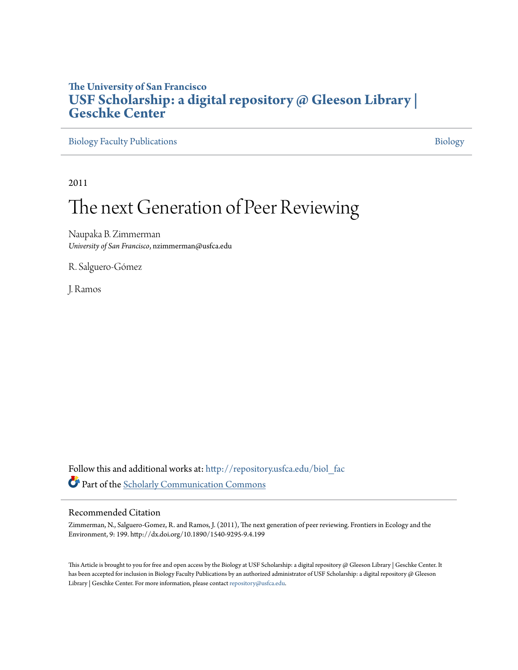## **The University of San Francisco [USF Scholarship: a digital repository @ Gleeson Library |](http://repository.usfca.edu?utm_source=repository.usfca.edu%2Fbiol_fac%2F37&utm_medium=PDF&utm_campaign=PDFCoverPages) [Geschke Center](http://repository.usfca.edu?utm_source=repository.usfca.edu%2Fbiol_fac%2F37&utm_medium=PDF&utm_campaign=PDFCoverPages)**

[Biology Faculty Publications](http://repository.usfca.edu/biol_fac?utm_source=repository.usfca.edu%2Fbiol_fac%2F37&utm_medium=PDF&utm_campaign=PDFCoverPages) **[Biology](http://repository.usfca.edu/biol?utm_source=repository.usfca.edu%2Fbiol_fac%2F37&utm_medium=PDF&utm_campaign=PDFCoverPages)** 

2011

## The next Generation of Peer Reviewing

Naupaka B. Zimmerman *University of San Francisco*, nzimmerman@usfca.edu

R. Salguero-Gómez

J. Ramos

Follow this and additional works at: [http://repository.usfca.edu/biol\\_fac](http://repository.usfca.edu/biol_fac?utm_source=repository.usfca.edu%2Fbiol_fac%2F37&utm_medium=PDF&utm_campaign=PDFCoverPages) Part of the [Scholarly Communication Commons](http://network.bepress.com/hgg/discipline/1272?utm_source=repository.usfca.edu%2Fbiol_fac%2F37&utm_medium=PDF&utm_campaign=PDFCoverPages)

## Recommended Citation

Zimmerman, N., Salguero-Gomez, R. and Ramos, J. (2011), The next generation of peer reviewing. Frontiers in Ecology and the Environment, 9: 199. http://dx.doi.org/10.1890/1540-9295-9.4.199

This Article is brought to you for free and open access by the Biology at USF Scholarship: a digital repository @ Gleeson Library | Geschke Center. It has been accepted for inclusion in Biology Faculty Publications by an authorized administrator of USF Scholarship: a digital repository @ Gleeson Library | Geschke Center. For more information, please contact [repository@usfca.edu.](mailto:repository@usfca.edu)